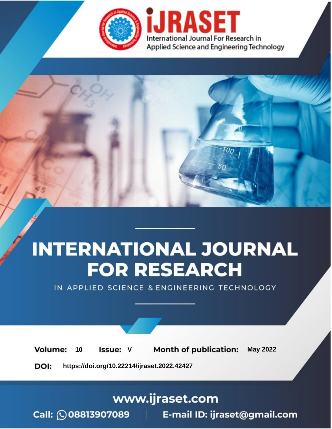

# **INTERNATIONAL JOURNAL FOR RESEARCH**

IN APPLIED SCIENCE & ENGINEERING TECHNOLOGY

Volume: **Month of publication: May 2022** 10 **Issue: V** 

DOI: https://doi.org/10.22214/ijraset.2022.42427

www.ijraset.com

Call: 008813907089 | E-mail ID: ijraset@gmail.com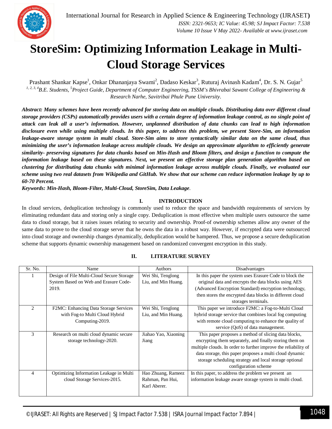

## **StoreSim: Optimizing Information Leakage in Multi-Cloud Storage Services**

Prashant Shankar Kapse<sup>1</sup>, Onkar Dhananjaya Swami<sup>2</sup>, Dadaso Keskar<sup>3</sup>, Ruturaj Avinash Kadam<sup>4</sup>, Dr. S. N. Gujar<sup>5</sup> *1, 2, 3, 4B.E. Students, <sup>5</sup>Project Guide, Department of Computer Engineering, TSSM's Bhivrabai Sawant College of Engineering & Research Narhe, Savitribai Phule Pune University.*

*Abstract: Many schemes have been recently advanced for storing data on multiple clouds. Distributing data over different cloud storage providers (CSPs) automatically provides users with a certain degree of information leakage control, as no single point of attack can leak all a user's information. However, unplanned distribution of data chunks can lead to high information disclosure even while using multiple clouds. In this paper, to address this problem, we present Store-Sim, an information leakage-aware storage system in multi cloud. Store-Sim aims to store syntactically similar data on the same cloud, thus minimizing the user's information leakage across multiple clouds. We design an approximate algorithm to efficiently generate similarity- preserving signatures for data chunks based on Min-Hash and Bloom filters, and design a function to compute the information leakage based on these signatures. Next, we present an effective storage plan generation algorithm based on clustering for distributing data chunks with minimal information leakage across multiple clouds. Finally, we evaluated our scheme using two real datasets from Wikipedia and GitHub. We show that our scheme can reduce information leakage by up to 60-70 Percent.*

*Keywords: Min-Hash, Bloom-Filter, Multi-Cloud, StoreSim, Data Leakage*.

## **I. INTRODUCTION**

In cloud services, deduplication technology is commonly used to reduce the space and bandwidth requirements of services by eliminating redundant data and storing only a single copy. Deduplication is most effective when multiple users outsource the same data to cloud storage, but it raises issues relating to security and ownership. Proof-of ownership schemes allow any owner of the same data to prove to the cloud storage server that he owns the data in a robust way. However, if encrypted data were outsourced into cloud storage and ownership changes dynamically, deduplication would be hampered. Thus, we propose a secure deduplication scheme that supports dynamic ownership management based on randomized convergent encryption in this study.

| Sr. No.        | Name                                      | <b>Authors</b>       | Disadvantages                                                   |
|----------------|-------------------------------------------|----------------------|-----------------------------------------------------------------|
|                | Design of File Multi-Cloud Secure Storage | Wei Shi, Tenglong    | In this paper the system uses Erasure Code to block the         |
|                | System Based on Web and Erasure Code-     | Liu, and Min Huang.  | original data and encrypts the data blocks using AES            |
|                | 2019.                                     |                      | (Advanced Encryption Standard) encryption technology,           |
|                |                                           |                      | then stores the encrypted data blocks in different cloud        |
|                |                                           |                      | storages terminals.                                             |
| $\mathfrak{D}$ | F2MC: Enhancing Data Storage Services     | Wei Shi, Tenglong    | This paper we introduce F2MC: a Fog-to-Multi Cloud              |
|                | with Fog-to Multi Cloud Hybrid            | Liu, and Min Huang.  | hybrid storage service that combines local fog computing        |
|                | Computing-2019.                           |                      | with remote cloud computing to enhance the quality of           |
|                |                                           |                      | service (QoS) of data management.                               |
| 3              | Research on multi cloud dynamic secure    | Jiahao Yao, Xiaoning | This paper proposes a method of slicing data blocks,            |
|                | storage technology-2020.                  | Jiang                | encrypting them separately, and finally storing them on         |
|                |                                           |                      | multiple clouds. In order to further improve the reliability of |
|                |                                           |                      | data storage, this paper proposes a multi cloud dynamic         |
|                |                                           |                      | storage scheduling strategy and local storage optional          |
|                |                                           |                      | configuration scheme                                            |
| 4              | Optimizing Information Leakage in Multi   | Hao Zhuang, Rameez   | In this paper, to address the problem we present an             |
|                | cloud Storage Services-2015.              | Rahman, Pan Hui,     | information leakage aware storage system in multi cloud.        |
|                |                                           | Karl Aberer.         |                                                                 |
|                |                                           |                      |                                                                 |

## **II. LITERATURE SURVEY**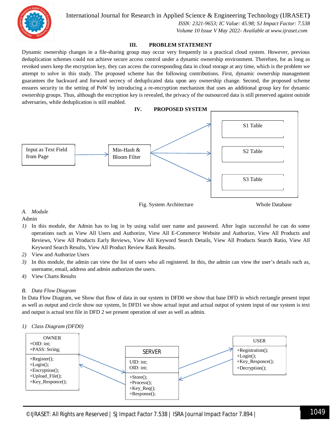

International Journal for Research in Applied Science & Engineering Technology (IJRASET**)**

 *ISSN: 2321-9653; IC Value: 45.98; SJ Impact Factor: 7.538 Volume 10 Issue V May 2022- Available at www.ijraset.com*

## **III. PROBLEM STATEMENT**

Dynamic ownership changes in a file-sharing group may occur very frequently in a practical cloud system. However, previous deduplication schemes could not achieve secure access control under a dynamic ownership environment. Therefore, for as long as revoked users keep the encryption key, they can access the corresponding data in cloud storage at any time, which is the problem we attempt to solve in this study. The proposed scheme has the following contributions. First, dynamic ownership management guarantees the backward and forward secrecy of deduplicated data upon any ownership change. Second, the proposed scheme ensures security in the setting of PoW by introducing a re-encryption mechanism that uses an additional group key for dynamic ownership groups. Thus, although the encryption key is revealed, the privacy of the outsourced data is still preserved against outside adversaries, while deduplication is still enabled.



*A. Module*

Admin

- *1)* In this module, the Admin has to log in by using valid user name and password. After login successful he can do some operations such as View All Users and Authorize, View All E-Commerce Website and Authorize, View All Products and Reviews, View All Products Early Reviews, View All Keyword Search Details, View All Products Search Ratio, View All Keyword Search Results, View All Product Review Rank Results.
- *2)* View and Authorize Users
- *3)* In this module, the admin can view the list of users who all registered. In this, the admin can view the user's details such as, username, email, address and admin authorizes the users.
- *4)* View Charts Results

## *B. Data Flow Diagram*

In Data Flow Diagram, we Show that flow of data in our system in DFD0 we show that base DFD in which rectangle present input as well as output and circle show our system, In DFD1 we show actual input and actual output of system input of our system is text and output is actual text file in DFD 2 we present operation of user as well as admin.

## *1) Class Diagram (DFD0)*

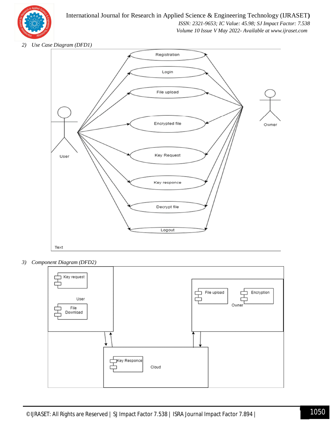

## International Journal for Research in Applied Science & Engineering Technology (IJRASET**)**

 *ISSN: 2321-9653; IC Value: 45.98; SJ Impact Factor: 7.538*

 *Volume 10 Issue V May 2022- Available at www.ijraset.com*

*2) Use Case Diagram (DFD1)*



*3) Component Diagram (DFD2)*

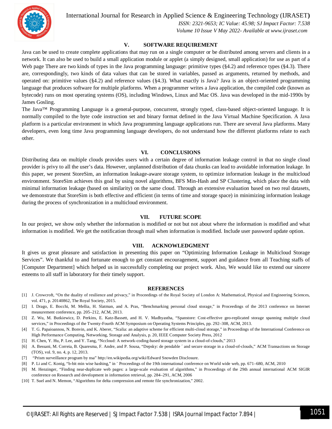

International Journal for Research in Applied Science & Engineering Technology (IJRASET**)**

 *ISSN: 2321-9653; IC Value: 45.98; SJ Impact Factor: 7.538 Volume 10 Issue V May 2022- Available at www.ijraset.com*

## **V. SOFTWARE REQUIREMENT**

Java can be used to create complete applications that may run on a single computer or be distributed among servers and clients in a network. It can also be used to build a small application module or applet (a simply designed, small application) for use as part of a Web page There are two kinds of types in the Java programming language: primitive types (§4.2) and reference types (§4.3). There are, correspondingly, two kinds of data values that can be stored in variables, passed as arguments, returned by methods, and operated on: primitive values (§4.2) and reference values (§4.3). What exactly is Java? Java is an object-oriented programming language that produces software for multiple platforms. When a programmer writes a Java application, the compiled code (known as bytecode) runs on most operating systems (OS), including Windows, Linux and Mac OS. Java was developed in the mid-1990s by James Gosling.

The Java™ Programming Language is a general-purpose, concurrent, strongly typed, class-based object-oriented language. It is normally compiled to the byte code instruction set and binary format defined in the Java Virtual Machine Specification. A Java platform is a particular environment in which Java programming language applications run. There are several Java platforms. Many developers, even long time Java programming language developers, do not understand how the different platforms relate to each other.

### **VI. CONCLUSIONS**

Distributing data on multiple clouds provides users with a certain degree of information leakage control in that no single cloud provider is privy to all the user's data. However, unplanned distribution of data chunks can lead to avoidable information leakage. In this paper, we present StoreSim, an information leakage-aware storage system, to optimize information leakage in the multicloud environment. StoreSim achieves this goal by using novel algorithms, BFS Min-Hash and SP Clustering, which place the data with minimal information leakage (based on similarity) on the same cloud. Through an extensive evaluation based on two real datasets, we demonstrate that StoreSim is both effective and efficient (in terms of time and storage space) in minimizing information leakage during the process of synchronization in a multicloud environment.

#### **VII. FUTURE SCOPE**

In our project, we show only whether the information is modified or not but not about where the information is modified and what information is modified. We get the notification through mail when information is modified. Include user password update option.

## **VIII. ACKNOWLEDGMENT**

It gives us great pleasure and satisfaction in presenting this paper on "Optimizing Information Leakage in Multicloud Storage Services". We thankful to and fortunate enough to get constant encouragement, support and guidance from all Teaching staffs of [Computer Department] which helped us in successfully completing our project work. Also, We would like to extend our sincere esteems to all staff in laboratory for their timely support.

### **REFERENCES**

- [1] J. Crowcroft, "On the duality of resilience and privacy," in Proceedings of the Royal Society of London A: Mathematical, Physical and Engineering Sciences, vol. 471, p. 20140862, The Royal Society, 2015.
- [2] I. Drago, E. Bocchi, M. Mellia, H. Slatman, and A. Pras, "Benchmarking personal cloud storage," in Proceedings of the 2013 conference on Internet measurement conference, pp. 205–212, ACM, 2013.
- [3] Z. Wu, M. Butkiewicz, D. Perkins, E. Katz-Bassett, and H. V. Madhyastha, "Spanstore: Cost-effective geo-replicated storage spanning multiple cloud services," in Proceedings of the Twenty-Fourth ACM Symposium on Operating Systems Principles, pp. 292–308, ACM, 2013.
- [4] T. G. Papaioannou, N. Bonvin, and K. Aberer, "Scalia: an adaptive scheme for efficient multi-cloud storage," in Proceedings of the International Conference on High Performance Computing, Networking, Storage and Analysis, p. 20, IEEE Computer Society Press, 2012
- [5] H. Chen, Y. Hu, P. Lee, and Y. Tang, "Nccloud: A network-coding-based storage system in a cloud-of-clouds," 2013
- [6] A. Bessani, M. Correia, B. Quaresma, F. Andre, and P. Sousa, "Depsky: de pendable ´ and secure storage in a cloud-of-clouds," ACM Transactions on Storage (TOS), vol. 9, no. 4, p. 12, 2013.
- [7] "Prism surveillance program by nsa" http://en.wikipedia.org/wiki/Edward Snowden Disclosure.
- [8] P. Li and C. Konig, "b-bit min wise hashing," in ¨ Proceedings of the 19th international conference on World wide web, pp. 671–680, ACM, 2010
- [9] M. Henzinger, "Finding near-duplicate web pages: a large-scale evaluation of algorithms," in Proceedings of the 29th annual international ACM SIGIR conference on Research and development in information retrieval, pp. 284–291, ACM, 2006
- [10] T. Suel and N. Memon, "Algorithms for delta compression and remote file synchronization," 2002.